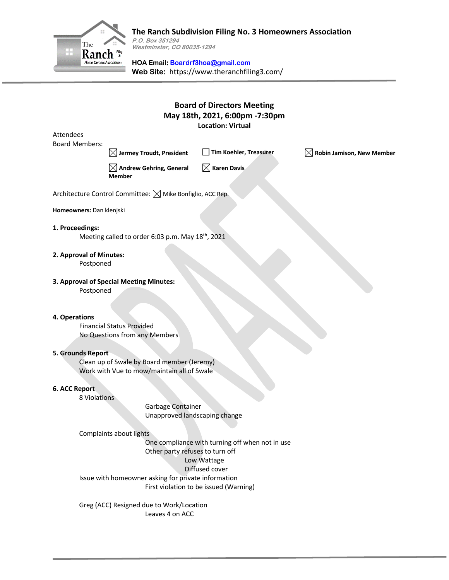

# **The Ranch Subdivision Filing No. 3 Homeowners Association**

**P.O. Box 351294 Westminster, CO 80035-1294**

**HOA Email: Boardrf3hoa@gmail.com Web Site:** https://www.theranchfiling3.com/

## **Board of Directors Meeting May 18th, 2021, 6:00pm -7:30pm Location: Virtual**

Attendees Board Members:

**Jermey Troudt, President Tim Koehler, Treasurer Robin Jamison, New Member**

**Andrew Gehring, General Member**

**Karen Davis**

Architecture Control Committee:  $\boxtimes$  Mike Bonfiglio, ACC Rep.

**Homeowners:** Dan klenjski

#### **1. Proceedings:**

Meeting called to order 6:03 p.m. May 18<sup>th</sup>, 2021

#### **2. Approval of Minutes:**

Postponed

## **3. Approval of Special Meeting Minutes:**

Postponed

#### **4. Operations**

Financial Status Provided No Questions from any Members

#### **5. Grounds Report**

Clean up of Swale by Board member (Jeremy) Work with Vue to mow/maintain all of Swale

#### **6. ACC Report**

8 Violations

Garbage Container Unapproved landscaping change

#### Complaints about lights

One compliance with turning off when not in use Other party refuses to turn off Low Wattage Diffused cover Issue with homeowner asking for private information First violation to be issued (Warning)

Greg (ACC) Resigned due to Work/Location Leaves 4 on ACC